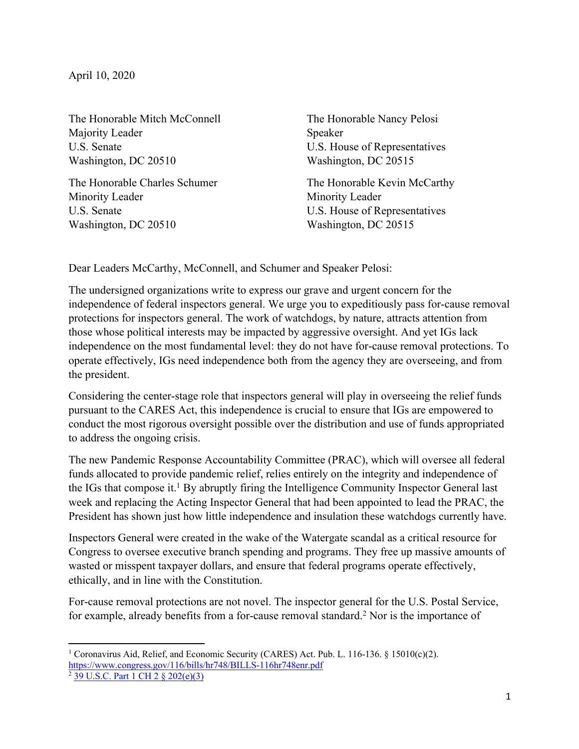The Honorable Mitch McConnell Majority Leader U.S. Senate Washington, DC 20510

The Honorable Charles Schumer Minority Leader U.S. Senate Washington, DC 20510

The Honorable Nancy Pelosi Speaker U.S. House of Representatives Washington, DC 20515

The Honorable Kevin McCarthy Minority Leader U.S. House of Representatives Washington, DC 20515

Dear Leaders McCarthy, McConnell, and Schumer and Speaker Pelosi:

The undersigned organizations write to express our grave and urgent concern for the independence of federal inspectors general. We urge you to expeditiously pass for-cause removal protections for inspectors general. The work of watchdogs, by nature, attracts attention from those whose political interests may be impacted by aggressive oversight. And yet IGs lack independence on the most fundamental level: they do not have for-cause removal protections. To operate effectively, IGs need independence both from the agency they are overseeing, and from the president.

Considering the center-stage role that inspectors general will play in overseeing the relief funds pursuant to the CARES Act, this independence is crucial to ensure that IGs are empowered to conduct the most rigorous oversight possible over the distribution and use of funds appropriated to address the ongoing crisis.

The new Pandemic Response Accountability Committee (PRAC), which will oversee all federal funds allocated to provide pandemic relief, relies entirely on the integrity and independence of the IGs that compose it. <sup>1</sup> By abruptly firing the Intelligence Community Inspector General last week and replacing the Acting Inspector General that had been appointed to lead the PRAC, the President has shown just how little independence and insulation these watchdogs currently have.

Inspectors General were created in the wake of the Watergate scandal as a critical resource for Congress to oversee executive branch spending and programs. They free up massive amounts of wasted or misspent taxpayer dollars, and ensure that federal programs operate effectively, ethically, and in line with the Constitution.

For-cause removal protections are not novel. The inspector general for the U.S. Postal Service, for example, already benefits from a for-cause removal standard. <sup>2</sup> Nor is the importance of

<sup>&</sup>lt;sup>1</sup> Coronavirus Aid, Relief, and Economic Security (CARES) Act. Pub. L. 116-136. § 15010(c)(2). https://www.congress.gov/116/bills/hr748/BILLS-116hr748enr.pdf

<sup>2</sup> 39 U.S.C. Part 1 CH 2 § 202(e)(3)